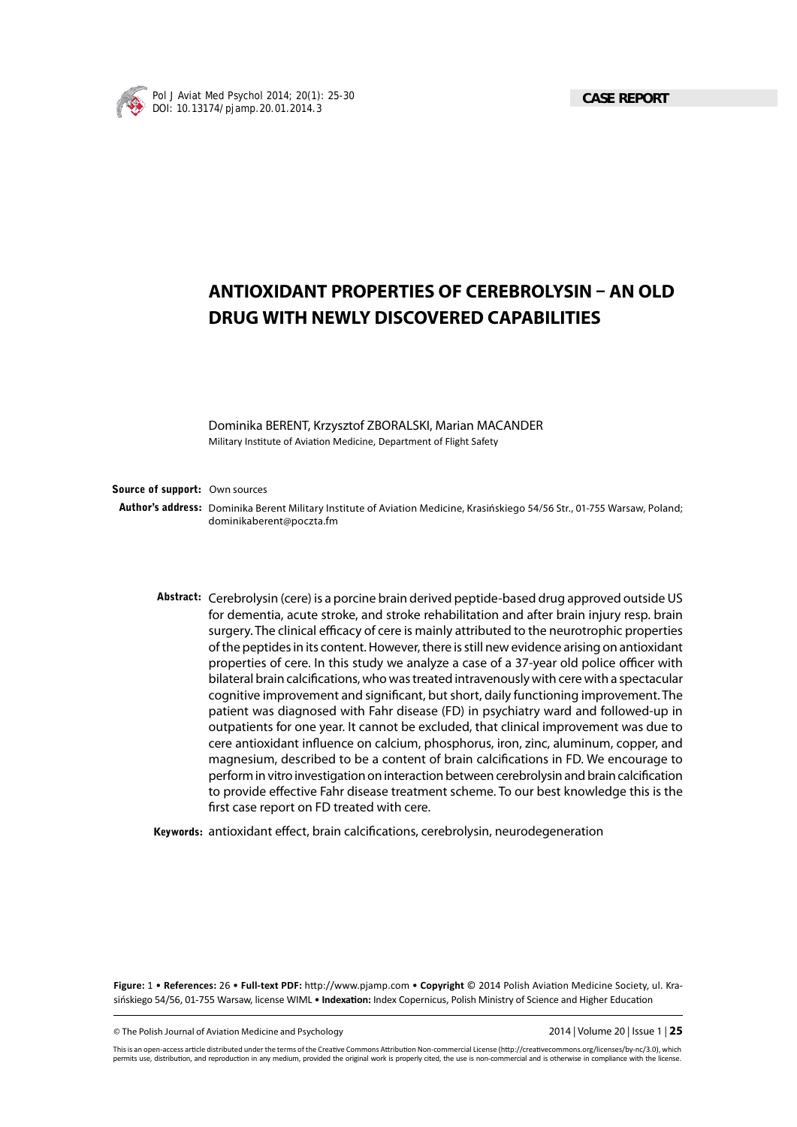

# **ANTIOXIDANT PROPERTIES OF CEREBROLYSIN – AN OLD DRUG WITH NEWLY DISCOVERED CAPABILITIES**

Dominika BERENT, Krzysztof ZBORALSKI, Marian MACANDER Military Institute of Aviation Medicine, Department of Flight Safety

**Source of support:** Own sources

**Author's address:** Dominika Berent Military Institute of Aviation Medicine, Krasińskiego 54/56 Str., 01-755 Warsaw, Poland; dominikaberent@poczta.fm

**Abstract:** Cerebrolysin (cere) is a porcine brain derived peptide-based drug approved outside US for dementia, acute stroke, and stroke rehabilitation and after brain injury resp. brain surgery. The clinical efficacy of cere is mainly attributed to the neurotrophic properties of the peptides in its content. However, there is still new evidence arising on antioxidant properties of cere. In this study we analyze a case of a 37-year old police officer with bilateral brain calcifications, who was treated intravenously with cere with a spectacular cognitive improvement and significant, but short, daily functioning improvement. The patient was diagnosed with Fahr disease (FD) in psychiatry ward and followed-up in outpatients for one year. It cannot be excluded, that clinical improvement was due to cere antioxidant influence on calcium, phosphorus, iron, zinc, aluminum, copper, and magnesium, described to be a content of brain calcifications in FD. We encourage to perform in vitro investigation on interaction between cerebrolysin and brain calcification to provide effective Fahr disease treatment scheme. To our best knowledge this is the first case report on FD treated with cere.

Keywords: antioxidant effect, brain calcifications, cerebrolysin, neurodegeneration

Figure: 1 • References: 26 • Full-text PDF: http://www.pjamp.com • Copyright © 2014 Polish Aviation Medicine Society, ul. Krasińskiego 54/56, 01-755 Warsaw, license WIML · Indexation: Index Copernicus, Polish Ministry of Science and Higher Education

© The Polish Journal of Aviation Medicine and Psychology 2014 | Volume 20 | Issue 1 | **25**

This is an open-access article distributed under the terms of the Creative Commons Attribution Non-commercial License (http://creativecommons.org/licenses/by-nc/3.0), which permits use, distribution, and reproduction in any medium, provided the original work is properly cited, the use is non-commercial and is otherwise in compliance with the license.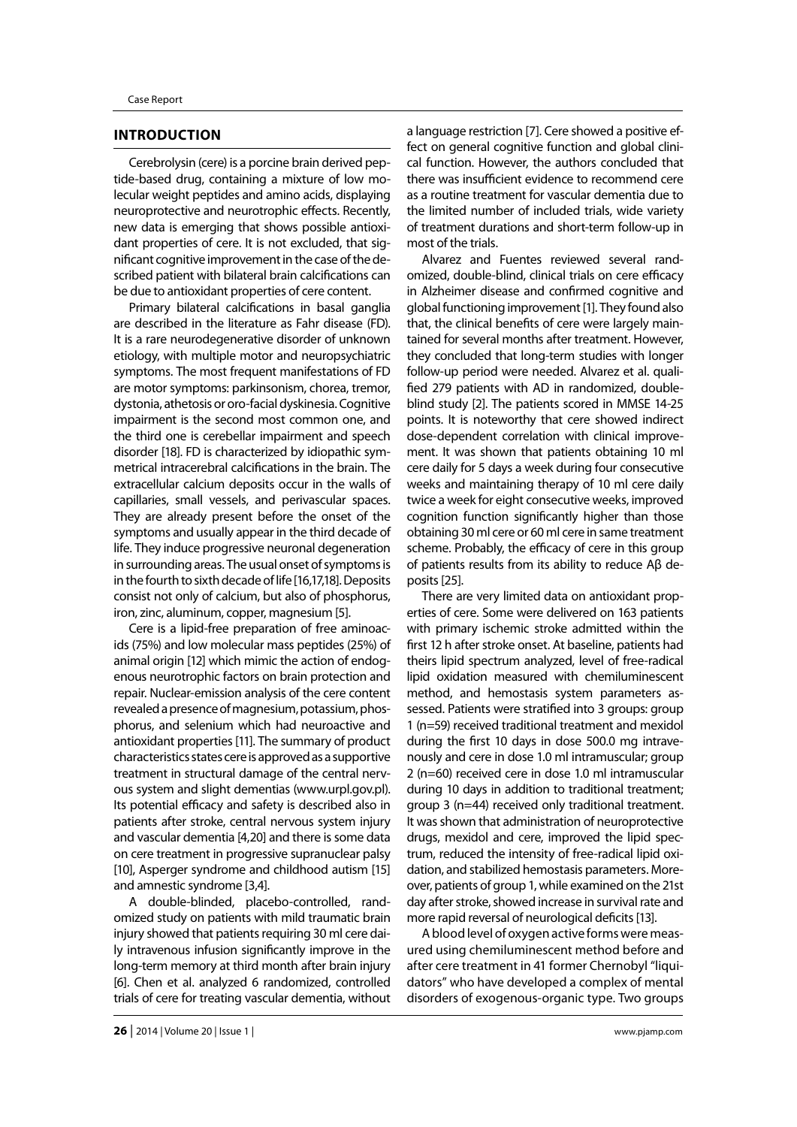#### **INTRODUCTION**

Cerebrolysin (cere) is a porcine brain derived peptide-based drug, containing a mixture of low molecular weight peptides and amino acids, displaying neuroprotective and neurotrophic effects. Recently, new data is emerging that shows possible antioxidant properties of cere. It is not excluded, that significant cognitive improvement in the case of the described patient with bilateral brain calcifications can be due to antioxidant properties of cere content.

Primary bilateral calcifications in basal ganglia are described in the literature as Fahr disease (FD). It is a rare neurodegenerative disorder of unknown etiology, with multiple motor and neuropsychiatric symptoms. The most frequent manifestations of FD are motor symptoms: parkinsonism, chorea, tremor, dystonia, athetosis or oro-facial dyskinesia. Cognitive impairment is the second most common one, and the third one is cerebellar impairment and speech disorder [18]. FD is characterized by idiopathic symmetrical intracerebral calcifications in the brain. The extracellular calcium deposits occur in the walls of capillaries, small vessels, and perivascular spaces. They are already present before the onset of the symptoms and usually appear in the third decade of life. They induce progressive neuronal degeneration in surrounding areas. The usual onset of symptoms is in the fourth to sixth decade of life [16,17,18]. Deposits consist not only of calcium, but also of phosphorus, iron, zinc, aluminum, copper, magnesium [5].

Cere is a lipid-free preparation of free aminoacids (75%) and low molecular mass peptides (25%) of animal origin [12] which mimic the action of endogenous neurotrophic factors on brain protection and repair. Nuclear-emission analysis of the cere content revealed a presence of magnesium, potassium, phosphorus, and selenium which had neuroactive and antioxidant properties [11]. The summary of product characteristics states cere is approved as a supportive treatment in structural damage of the central nervous system and slight dementias (www.urpl.gov.pl). Its potential efficacy and safety is described also in patients after stroke, central nervous system injury and vascular dementia [4,20] and there is some data on cere treatment in progressive supranuclear palsy [10], Asperger syndrome and childhood autism [15] and amnestic syndrome [3,4].

A double-blinded, placebo-controlled, randomized study on patients with mild traumatic brain injury showed that patients requiring 30 ml cere daily intravenous infusion significantly improve in the long-term memory at third month after brain injury [6]. Chen et al. analyzed 6 randomized, controlled trials of cere for treating vascular dementia, without a language restriction [7]. Cere showed a positive effect on general cognitive function and global clinical function. However, the authors concluded that there was insufficient evidence to recommend cere as a routine treatment for vascular dementia due to the limited number of included trials, wide variety of treatment durations and short-term follow-up in most of the trials.

Alvarez and Fuentes reviewed several randomized, double-blind, clinical trials on cere efficacy in Alzheimer disease and confirmed cognitive and global functioning improvement [1]. They found also that, the clinical benefits of cere were largely maintained for several months after treatment. However, they concluded that long-term studies with longer follow-up period were needed. Alvarez et al. qualified 279 patients with AD in randomized, doubleblind study [2]. The patients scored in MMSE 14-25 points. It is noteworthy that cere showed indirect dose-dependent correlation with clinical improvement. It was shown that patients obtaining 10 ml cere daily for 5 days a week during four consecutive weeks and maintaining therapy of 10 ml cere daily twice a week for eight consecutive weeks, improved cognition function significantly higher than those obtaining 30 ml cere or 60 ml cere in same treatment scheme. Probably, the efficacy of cere in this group of patients results from its ability to reduce Aβ deposits [25].

There are very limited data on antioxidant properties of cere. Some were delivered on 163 patients with primary ischemic stroke admitted within the first 12 h after stroke onset. At baseline, patients had theirs lipid spectrum analyzed, level of free-radical lipid oxidation measured with chemiluminescent method, and hemostasis system parameters assessed. Patients were stratified into 3 groups: group 1 (n=59) received traditional treatment and mexidol during the first 10 days in dose 500.0 mg intravenously and cere in dose 1.0 ml intramuscular; group 2 (n=60) received cere in dose 1.0 ml intramuscular during 10 days in addition to traditional treatment; group 3 (n=44) received only traditional treatment. It was shown that administration of neuroprotective drugs, mexidol and cere, improved the lipid spectrum, reduced the intensity of free-radical lipid oxidation, and stabilized hemostasis parameters. Moreover, patients of group 1, while examined on the 21st day after stroke, showed increase in survival rate and more rapid reversal of neurological deficits [13].

A blood level of oxygen active forms were measured using chemiluminescent method before and after cere treatment in 41 former Chernobyl "liquidators" who have developed a complex of mental disorders of exogenous-organic type. Two groups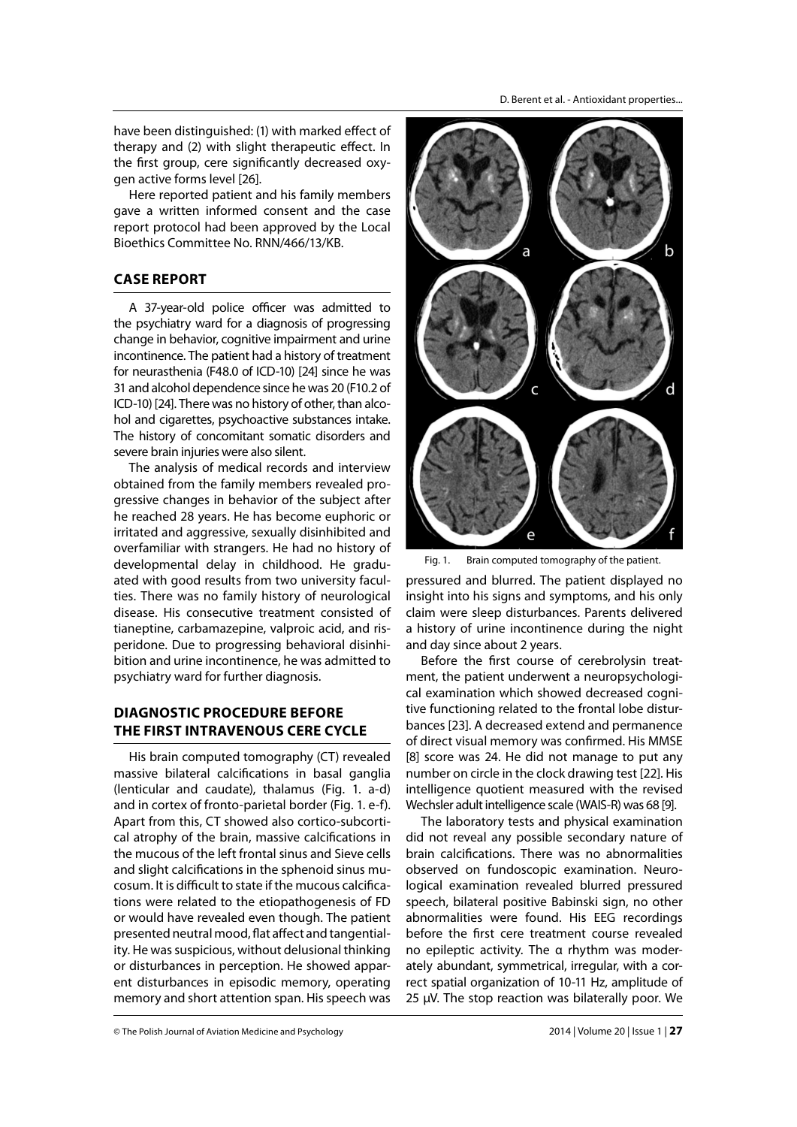D. Berent et al. - Antioxidant properties...

have been distinguished: (1) with marked effect of therapy and (2) with slight therapeutic effect. In the first group, cere significantly decreased oxygen active forms level [26].

Here reported patient and his family members gave a written informed consent and the case report protocol had been approved by the Local Bioethics Committee No. RNN/466/13/KB.

## **CASE REPORT**

A 37-year-old police officer was admitted to the psychiatry ward for a diagnosis of progressing change in behavior, cognitive impairment and urine incontinence. The patient had a history of treatment for neurasthenia (F48.0 of ICD-10) [24] since he was 31 and alcohol dependence since he was 20 (F10.2 of ICD-10) [24]. There was no history of other, than alcohol and cigarettes, psychoactive substances intake. The history of concomitant somatic disorders and severe brain injuries were also silent.

The analysis of medical records and interview obtained from the family members revealed progressive changes in behavior of the subject after he reached 28 years. He has become euphoric or irritated and aggressive, sexually disinhibited and overfamiliar with strangers. He had no history of developmental delay in childhood. He graduated with good results from two university faculties. There was no family history of neurological disease. His consecutive treatment consisted of tianeptine, carbamazepine, valproic acid, and risperidone. Due to progressing behavioral disinhibition and urine incontinence, he was admitted to psychiatry ward for further diagnosis.

# **DIAGNOSTIC PROCEDURE BEFORE THE FIRST INTRAVENOUS CERE CYCLE**

His brain computed tomography (CT) revealed massive bilateral calcifications in basal ganglia (lenticular and caudate), thalamus (Fig. 1. a-d) and in cortex of fronto-parietal border (Fig. 1. e-f). Apart from this, CT showed also cortico-subcortical atrophy of the brain, massive calcifications in the mucous of the left frontal sinus and Sieve cells and slight calcifications in the sphenoid sinus mucosum. It is difficult to state if the mucous calcifications were related to the etiopathogenesis of FD or would have revealed even though. The patient presented neutral mood, flat affect and tangentiality. He was suspicious, without delusional thinking or disturbances in perception. He showed apparent disturbances in episodic memory, operating memory and short attention span. His speech was



Fig. 1. Brain computed tomography of the patient.

pressured and blurred. The patient displayed no insight into his signs and symptoms, and his only claim were sleep disturbances. Parents delivered a history of urine incontinence during the night and day since about 2 years.

Before the first course of cerebrolysin treatment, the patient underwent a neuropsychological examination which showed decreased cognitive functioning related to the frontal lobe disturbances [23]. A decreased extend and permanence of direct visual memory was confirmed. His MMSE [8] score was 24. He did not manage to put any number on circle in the clock drawing test [22]. His intelligence quotient measured with the revised Wechsler adult intelligence scale (WAIS-R) was 68 [9].

The laboratory tests and physical examination did not reveal any possible secondary nature of brain calcifications. There was no abnormalities observed on fundoscopic examination. Neurological examination revealed blurred pressured speech, bilateral positive Babinski sign, no other abnormalities were found. His EEG recordings before the first cere treatment course revealed no epileptic activity. The α rhythm was moderately abundant, symmetrical, irregular, with a correct spatial organization of 10-11 Hz, amplitude of 25 μV. The stop reaction was bilaterally poor. We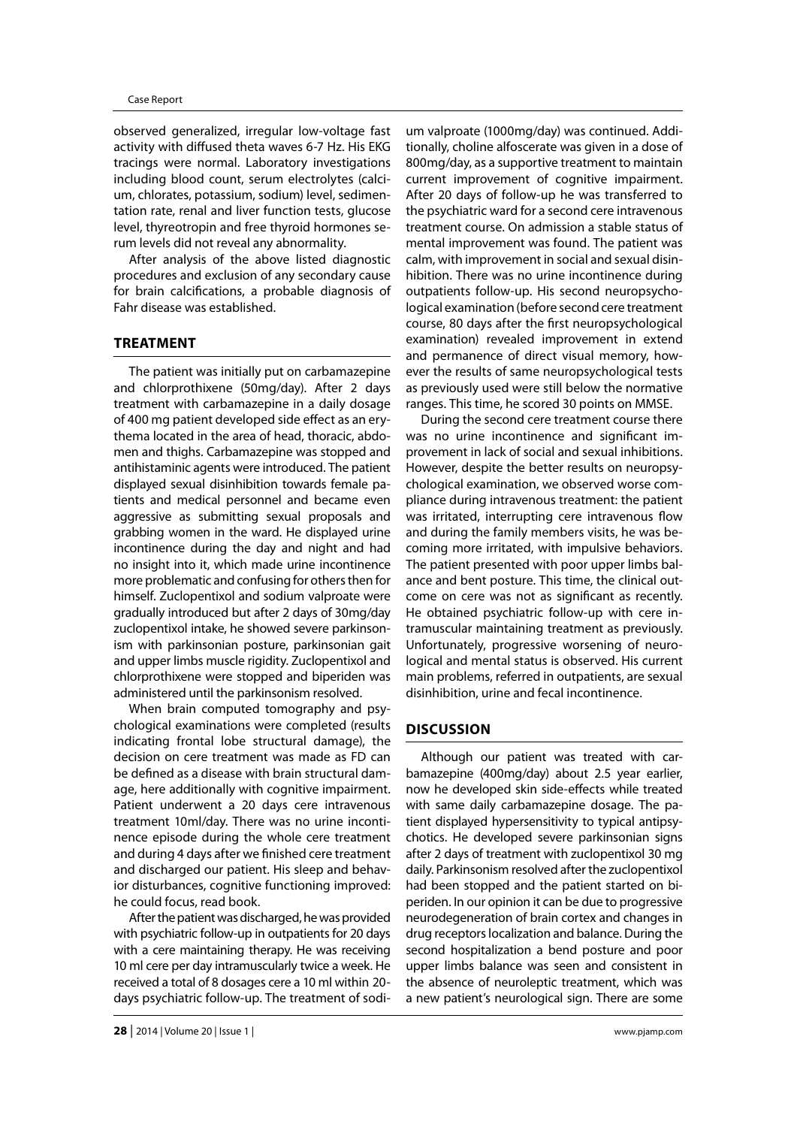observed generalized, irregular low-voltage fast activity with diffused theta waves 6-7 Hz. His EKG tracings were normal. Laboratory investigations including blood count, serum electrolytes (calcium, chlorates, potassium, sodium) level, sedimentation rate, renal and liver function tests, glucose level, thyreotropin and free thyroid hormones serum levels did not reveal any abnormality.

After analysis of the above listed diagnostic procedures and exclusion of any secondary cause for brain calcifications, a probable diagnosis of Fahr disease was established.

# **TREATMENT**

The patient was initially put on carbamazepine and chlorprothixene (50mg/day). After 2 days treatment with carbamazepine in a daily dosage of 400 mg patient developed side effect as an erythema located in the area of head, thoracic, abdomen and thighs. Carbamazepine was stopped and antihistaminic agents were introduced. The patient displayed sexual disinhibition towards female patients and medical personnel and became even aggressive as submitting sexual proposals and grabbing women in the ward. He displayed urine incontinence during the day and night and had no insight into it, which made urine incontinence more problematic and confusing for others then for himself. Zuclopentixol and sodium valproate were gradually introduced but after 2 days of 30mg/day zuclopentixol intake, he showed severe parkinsonism with parkinsonian posture, parkinsonian gait and upper limbs muscle rigidity. Zuclopentixol and chlorprothixene were stopped and biperiden was administered until the parkinsonism resolved.

When brain computed tomography and psychological examinations were completed (results indicating frontal lobe structural damage), the decision on cere treatment was made as FD can be defined as a disease with brain structural damage, here additionally with cognitive impairment. Patient underwent a 20 days cere intravenous treatment 10ml/day. There was no urine incontinence episode during the whole cere treatment and during 4 days after we finished cere treatment and discharged our patient. His sleep and behavior disturbances, cognitive functioning improved: he could focus, read book.

After the patient was discharged, he was provided with psychiatric follow-up in outpatients for 20 days with a cere maintaining therapy. He was receiving 10 ml cere per day intramuscularly twice a week. He received a total of 8 dosages cere a 10 ml within 20 days psychiatric follow-up. The treatment of sodi-

um valproate (1000mg/day) was continued. Additionally, choline alfoscerate was given in a dose of 800mg/day, as a supportive treatment to maintain current improvement of cognitive impairment. After 20 days of follow-up he was transferred to the psychiatric ward for a second cere intravenous treatment course. On admission a stable status of mental improvement was found. The patient was calm, with improvement in social and sexual disinhibition. There was no urine incontinence during outpatients follow-up. His second neuropsychological examination (before second cere treatment course, 80 days after the first neuropsychological examination) revealed improvement in extend and permanence of direct visual memory, however the results of same neuropsychological tests as previously used were still below the normative ranges. This time, he scored 30 points on MMSE.

During the second cere treatment course there was no urine incontinence and significant improvement in lack of social and sexual inhibitions. However, despite the better results on neuropsychological examination, we observed worse compliance during intravenous treatment: the patient was irritated, interrupting cere intravenous flow and during the family members visits, he was becoming more irritated, with impulsive behaviors. The patient presented with poor upper limbs balance and bent posture. This time, the clinical outcome on cere was not as significant as recently. He obtained psychiatric follow-up with cere intramuscular maintaining treatment as previously. Unfortunately, progressive worsening of neurological and mental status is observed. His current main problems, referred in outpatients, are sexual disinhibition, urine and fecal incontinence.

## **DISCUSSION**

Although our patient was treated with carbamazepine (400mg/day) about 2.5 year earlier, now he developed skin side-effects while treated with same daily carbamazepine dosage. The patient displayed hypersensitivity to typical antipsychotics. He developed severe parkinsonian signs after 2 days of treatment with zuclopentixol 30 mg daily. Parkinsonism resolved after the zuclopentixol had been stopped and the patient started on biperiden. In our opinion it can be due to progressive neurodegeneration of brain cortex and changes in drug receptors localization and balance. During the second hospitalization a bend posture and poor upper limbs balance was seen and consistent in the absence of neuroleptic treatment, which was a new patient's neurological sign. There are some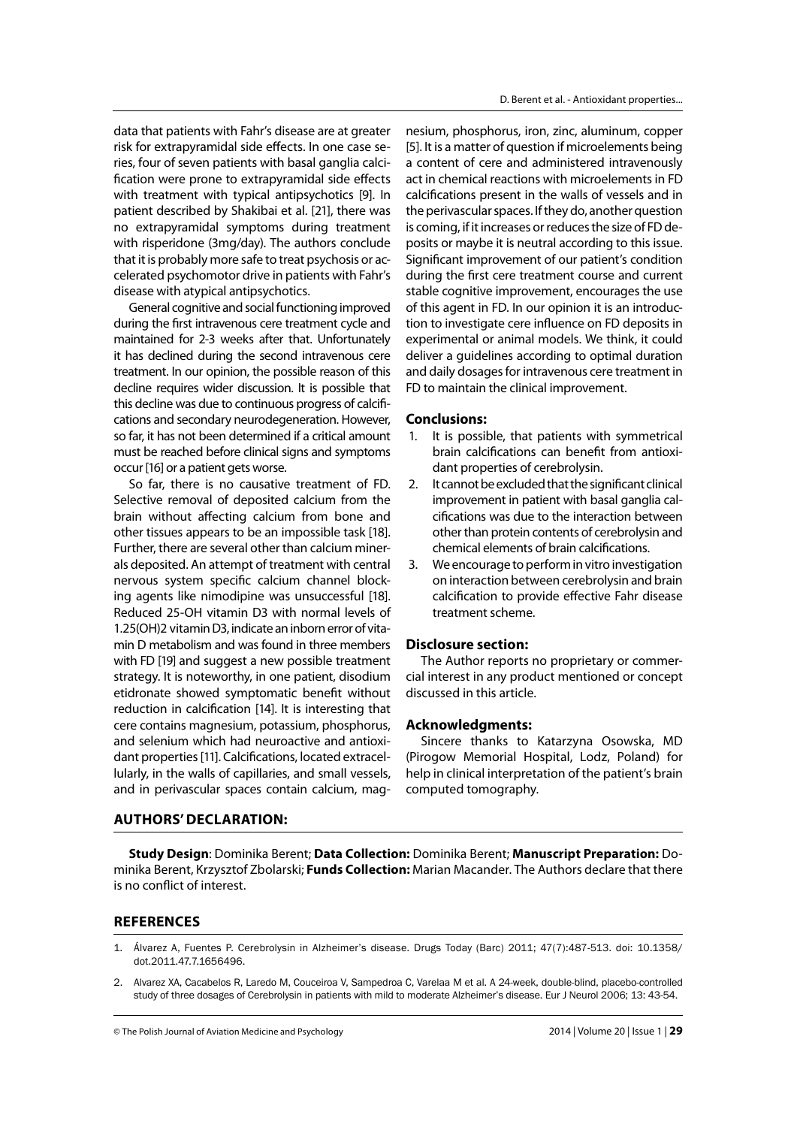data that patients with Fahr's disease are at greater risk for extrapyramidal side effects. In one case series, four of seven patients with basal ganglia calcification were prone to extrapyramidal side effects with treatment with typical antipsychotics [9]. In patient described by Shakibai et al. [21], there was no extrapyramidal symptoms during treatment with risperidone (3mg/day). The authors conclude that it is probably more safe to treat psychosis or accelerated psychomotor drive in patients with Fahr's disease with atypical antipsychotics.

General cognitive and social functioning improved during the first intravenous cere treatment cycle and maintained for 2-3 weeks after that. Unfortunately it has declined during the second intravenous cere treatment. In our opinion, the possible reason of this decline requires wider discussion. It is possible that this decline was due to continuous progress of calcifications and secondary neurodegeneration. However, so far, it has not been determined if a critical amount must be reached before clinical signs and symptoms occur [16] or a patient gets worse.

So far, there is no causative treatment of FD. Selective removal of deposited calcium from the brain without affecting calcium from bone and other tissues appears to be an impossible task [18]. Further, there are several other than calcium minerals deposited. An attempt of treatment with central nervous system specific calcium channel blocking agents like nimodipine was unsuccessful [18]. Reduced 25-OH vitamin D3 with normal levels of 1.25(OH)2 vitamin D3, indicate an inborn error of vitamin D metabolism and was found in three members with FD [19] and suggest a new possible treatment strategy. It is noteworthy, in one patient, disodium etidronate showed symptomatic benefit without reduction in calcification [14]. It is interesting that cere contains magnesium, potassium, phosphorus, and selenium which had neuroactive and antioxidant properties [11]. Calcifications, located extracellularly, in the walls of capillaries, and small vessels, and in perivascular spaces contain calcium, mag-

nesium, phosphorus, iron, zinc, aluminum, copper [5]. It is a matter of question if microelements being a content of cere and administered intravenously act in chemical reactions with microelements in FD calcifications present in the walls of vessels and in the perivascular spaces. If they do, another question is coming, if it increases or reduces the size of FD deposits or maybe it is neutral according to this issue. Significant improvement of our patient's condition during the first cere treatment course and current stable cognitive improvement, encourages the use of this agent in FD. In our opinion it is an introduction to investigate cere influence on FD deposits in experimental or animal models. We think, it could deliver a guidelines according to optimal duration and daily dosages for intravenous cere treatment in FD to maintain the clinical improvement.

## **Conclusions:**

- 1. It is possible, that patients with symmetrical brain calcifications can benefit from antioxidant properties of cerebrolysin.
- 2. It cannot be excluded that the significant clinical improvement in patient with basal ganglia calcifications was due to the interaction between other than protein contents of cerebrolysin and chemical elements of brain calcifications.
- 3. We encourage to perform in vitro investigation on interaction between cerebrolysin and brain calcification to provide effective Fahr disease treatment scheme.

## **Disclosure section:**

The Author reports no proprietary or commercial interest in any product mentioned or concept discussed in this article.

### **Acknowledgments:**

Sincere thanks to Katarzyna Osowska, MD (Pirogow Memorial Hospital, Lodz, Poland) for help in clinical interpretation of the patient's brain computed tomography.

### **AUTHORS' DECLARATION:**

**Study Design**: Dominika Berent; **Data Collection:** Dominika Berent; **Manuscript Preparation:** Dominika Berent, Krzysztof Zbolarski; **Funds Collection:** Marian Macander. The Authors declare that there is no conflict of interest.

## **REFERENCES**

- 1. Álvarez A, Fuentes P. Cerebrolysin in Alzheimer's disease. Drugs Today (Barc) 2011; 47(7):487-513. doi: 10.1358/ dot.2011.47.7.1656496.
- 2. Alvarez XA, Cacabelos R, Laredo M, Couceiroa V, Sampedroa C, Varelaa M et al. A 24-week, double-blind, placebo-controlled study of three dosages of Cerebrolysin in patients with mild to moderate Alzheimer's disease. Eur J Neurol 2006; 13: 43-54.

© The Polish Journal of Aviation Medicine and Psychology 2014 | Volume 20 | Issue 1 | **29**